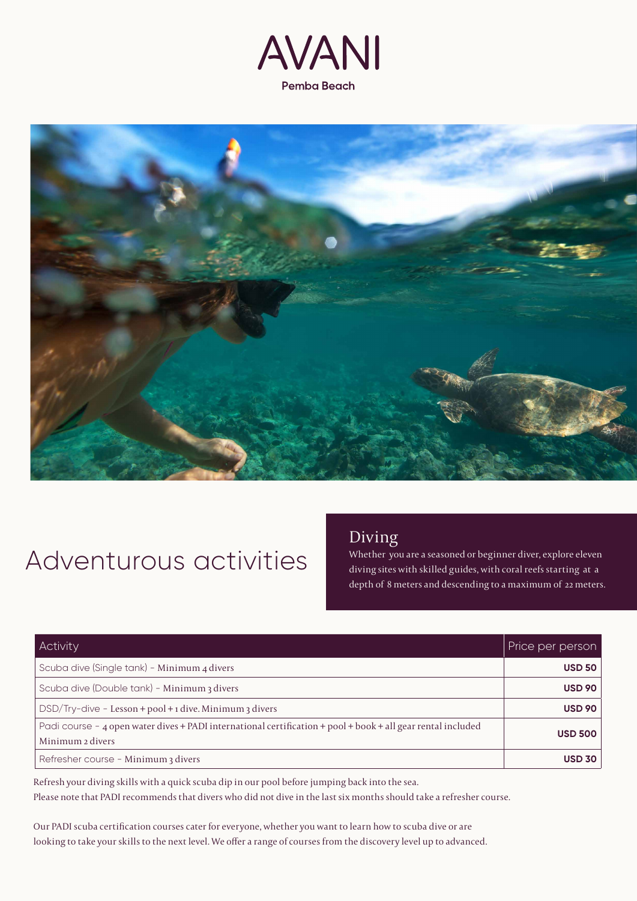



# Adventurous activities

### Diving

Whether you are a seasoned or beginner diver, explore eleven diving sites with skilled guides, with coral reefs starting at a depth of 8 meters and descending to a maximum of 22 meters.

| Activity                                                                                                                         | Price per person |
|----------------------------------------------------------------------------------------------------------------------------------|------------------|
| Scuba dive (Single tank) - Minimum 4 divers                                                                                      | <b>USD 50</b>    |
| Scuba dive (Double tank) - Minimum 3 divers                                                                                      | <b>USD 90</b>    |
| $DSD/Try$ -dive - Lesson + pool + 1 dive. Minimum 3 divers                                                                       | <b>USD 90</b>    |
| Padi course - 4 open water dives + PADI international certification + pool + book + all gear rental included<br>Minimum 2 divers | <b>USD 500</b>   |
| Refresher course - Minimum 3 divers                                                                                              | <b>USD 30</b>    |

Refresh your diving skills with a quick scuba dip in our pool before jumping back into the sea. Please note that PADI recommends that divers who did not dive in the last six months should take a refresher course.

Our PADI scuba certification courses cater for everyone, whether you want to learn how to scuba dive or are looking to take your skills to the next level. We offer a range of courses from the discovery level up to advanced.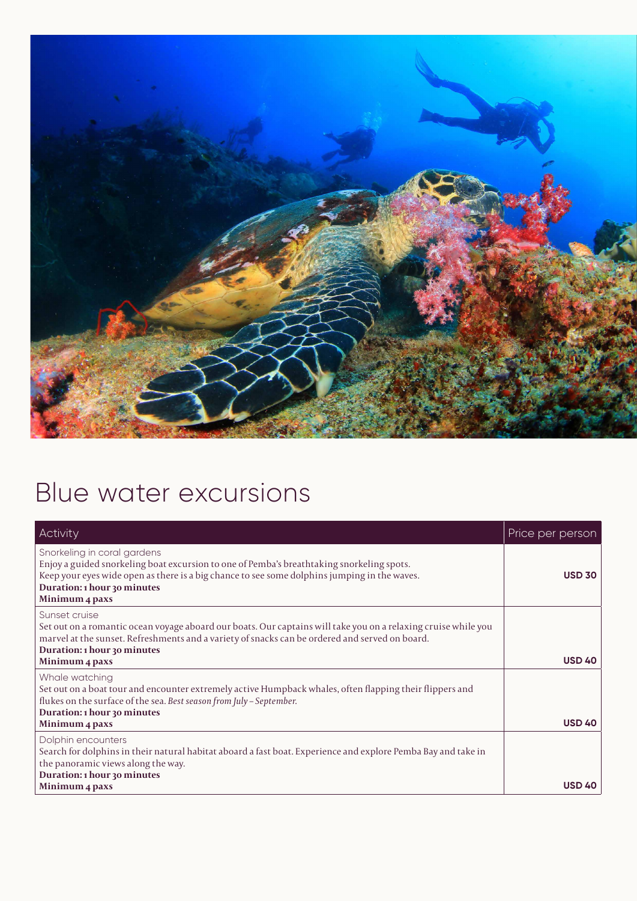

## Blue water excursions

| Activity                                                                                                                                                                                                                                                                           | Price per person |
|------------------------------------------------------------------------------------------------------------------------------------------------------------------------------------------------------------------------------------------------------------------------------------|------------------|
| Snorkeling in coral gardens<br>Enjoy a guided snorkeling boat excursion to one of Pemba's breathtaking snorkeling spots.<br>Keep your eyes wide open as there is a big chance to see some dolphins jumping in the waves.<br>Duration: 1 hour 30 minutes<br>Minimum 4 paxs          | <b>USD 30</b>    |
| Sunset cruise<br>Set out on a romantic ocean voyage aboard our boats. Our captains will take you on a relaxing cruise while you<br>marvel at the sunset. Refreshments and a variety of snacks can be ordered and served on board.<br>Duration: 1 hour 30 minutes<br>Minimum 4 paxs | <b>USD 40</b>    |
| Whale watching<br>Set out on a boat tour and encounter extremely active Humpback whales, often flapping their flippers and<br>flukes on the surface of the sea. Best season from July - September.<br>Duration: 1 hour 30 minutes<br>Minimum 4 paxs                                | <b>USD 40</b>    |
| Dolphin encounters<br>Search for dolphins in their natural habitat aboard a fast boat. Experience and explore Pemba Bay and take in<br>the panoramic views along the way.<br>Duration: 1 hour 30 minutes<br>Minimum 4 paxs                                                         | <b>USD 40</b>    |